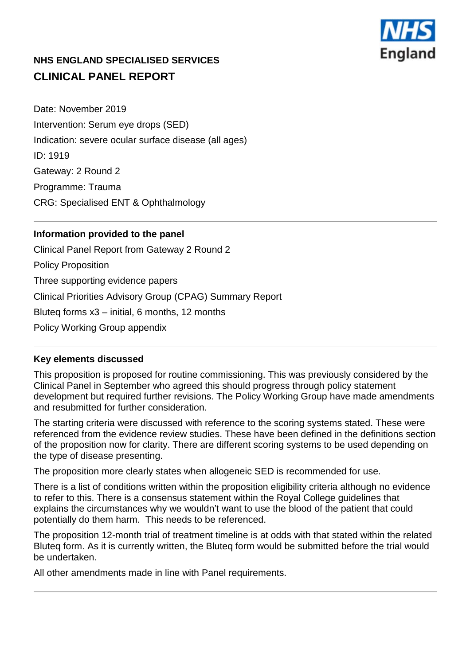

# **NHS ENGLAND SPECIALISED SERVICES CLINICAL PANEL REPORT**

Date: November 2019 Intervention: Serum eye drops (SED) Indication: severe ocular surface disease (all ages) ID: 1919 Gateway: 2 Round 2 Programme: Trauma CRG: Specialised ENT & Ophthalmology

# **Information provided to the panel**

Clinical Panel Report from Gateway 2 Round 2 Policy Proposition Three supporting evidence papers Clinical Priorities Advisory Group (CPAG) Summary Report Bluteq forms x3 – initial, 6 months, 12 months Policy Working Group appendix

#### **Key elements discussed**

This proposition is proposed for routine commissioning. This was previously considered by the Clinical Panel in September who agreed this should progress through policy statement development but required further revisions. The Policy Working Group have made amendments and resubmitted for further consideration.

The starting criteria were discussed with reference to the scoring systems stated. These were referenced from the evidence review studies. These have been defined in the definitions section of the proposition now for clarity. There are different scoring systems to be used depending on the type of disease presenting.

The proposition more clearly states when allogeneic SED is recommended for use.

There is a list of conditions written within the proposition eligibility criteria although no evidence to refer to this. There is a consensus statement within the Royal College guidelines that explains the circumstances why we wouldn't want to use the blood of the patient that could potentially do them harm. This needs to be referenced.

The proposition 12-month trial of treatment timeline is at odds with that stated within the related Bluteq form. As it is currently written, the Bluteq form would be submitted before the trial would be undertaken.

All other amendments made in line with Panel requirements.